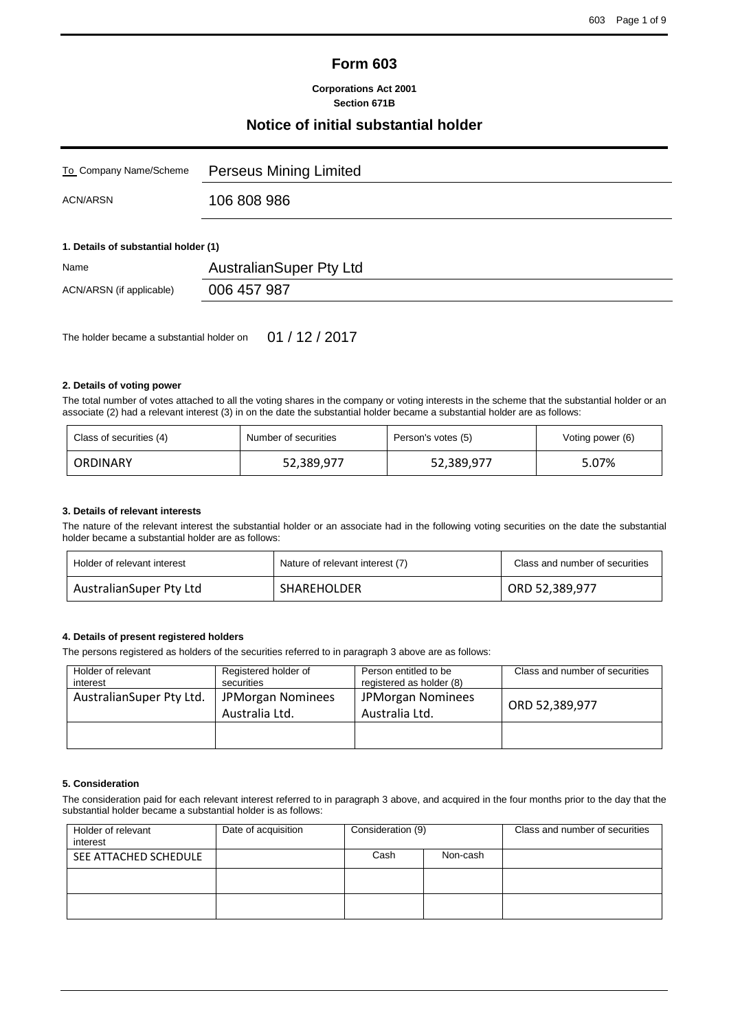# **Form 603**

### **Corporations Act 2001 Section 671B**

## **Notice of initial substantial holder**

| To Company Name/Scheme               | Perseus Mining Limited         |
|--------------------------------------|--------------------------------|
| ACN/ARSN                             | 106 808 986                    |
| 1. Details of substantial holder (1) |                                |
| Name                                 | <b>AustralianSuper Pty Ltd</b> |
| ACN/ARSN (if applicable)             | 006 457 987                    |

The holder became a substantial holder on 01 / 12 / 2017

## **2. Details of voting power**

The total number of votes attached to all the voting shares in the company or voting interests in the scheme that the substantial holder or an associate (2) had a relevant interest (3) in on the date the substantial holder became a substantial holder are as follows:

| Class of securities (4) | Number of securities | Person's votes (5) | Voting power (6) |
|-------------------------|----------------------|--------------------|------------------|
| ORDINARY                | 52,389,977           | 52,389,977         | 5.07%            |

#### **3. Details of relevant interests**

The nature of the relevant interest the substantial holder or an associate had in the following voting securities on the date the substantial holder became a substantial holder are as follows:

| Holder of relevant interest | Nature of relevant interest (7) | Class and number of securities |
|-----------------------------|---------------------------------|--------------------------------|
| AustralianSuper Pty Ltd     | SHAREHOLDER                     | ORD 52,389,977                 |

## **4. Details of present registered holders**

The persons registered as holders of the securities referred to in paragraph 3 above are as follows:

| Holder of relevant<br>interest | Registered holder of<br>securities  | Person entitled to be<br>registered as holder (8) | Class and number of securities |
|--------------------------------|-------------------------------------|---------------------------------------------------|--------------------------------|
| AustralianSuper Pty Ltd.       | JPMorgan Nominees<br>Australia Ltd. | <b>JPMorgan Nominees</b><br>Australia Ltd.        | ORD 52,389,977                 |
|                                |                                     |                                                   |                                |

## **5. Consideration**

The consideration paid for each relevant interest referred to in paragraph 3 above, and acquired in the four months prior to the day that the substantial holder became a substantial holder is as follows:

| Holder of relevant<br>interest | Date of acquisition | Consideration (9) |          | Class and number of securities |
|--------------------------------|---------------------|-------------------|----------|--------------------------------|
| SEE ATTACHED SCHEDULE          |                     | Cash              | Non-cash |                                |
|                                |                     |                   |          |                                |
|                                |                     |                   |          |                                |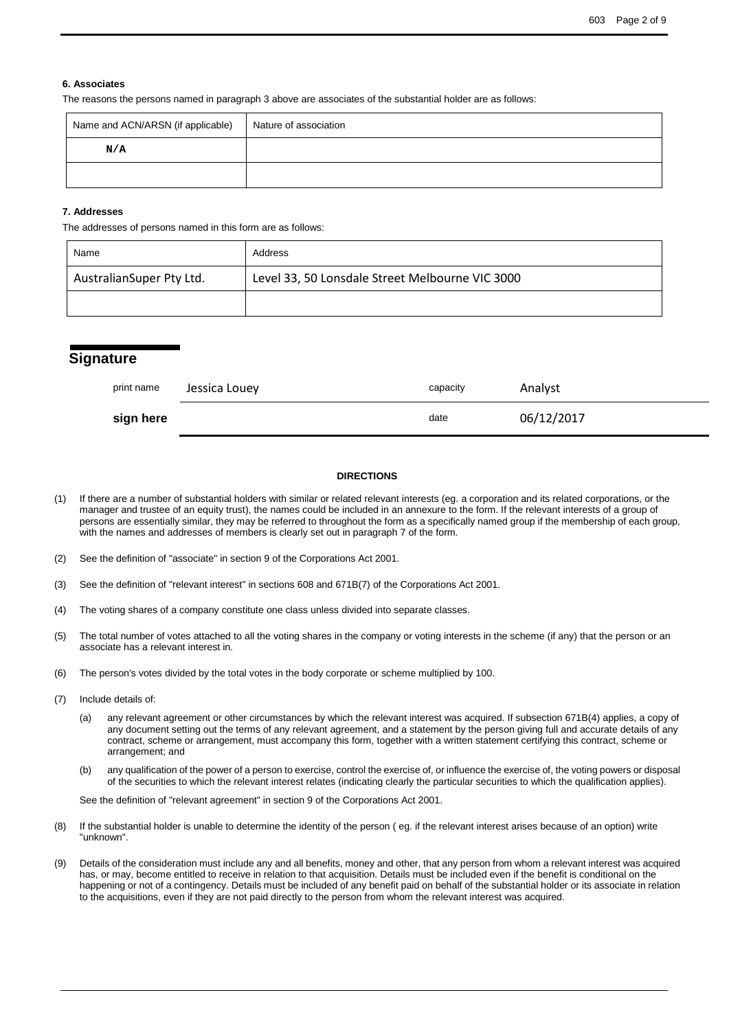#### **6. Associates**

The reasons the persons named in paragraph 3 above are associates of the substantial holder are as follows:

| Name and ACN/ARSN (if applicable) | Nature of association |
|-----------------------------------|-----------------------|
| N/A                               |                       |
|                                   |                       |

#### **7. Addresses**

The addresses of persons named in this form are as follows:

| Name                     | Address                                         |
|--------------------------|-------------------------------------------------|
| AustralianSuper Pty Ltd. | Level 33, 50 Lonsdale Street Melbourne VIC 3000 |
|                          |                                                 |

| <b>Signature</b> |               |          |            |
|------------------|---------------|----------|------------|
| print name       | Jessica Louey | capacity | Analyst    |
| sign here        |               | date     | 06/12/2017 |

#### **DIRECTIONS**

(1) If there are a number of substantial holders with similar or related relevant interests (eg. a corporation and its related corporations, or the manager and trustee of an equity trust), the names could be included in an annexure to the form. If the relevant interests of a group of persons are essentially similar, they may be referred to throughout the form as a specifically named group if the membership of each group, with the names and addresses of members is clearly set out in paragraph 7 of the form.

- (3) See the definition of "relevant interest" in sections 608 and 671B(7) of the Corporations Act 2001.
- (4) The voting shares of a company constitute one class unless divided into separate classes.
- (5) The total number of votes attached to all the voting shares in the company or voting interests in the scheme (if any) that the person or an associate has a relevant interest in.
- (6) The person's votes divided by the total votes in the body corporate or scheme multiplied by 100.
- (7) Include details of:
	- (a) any relevant agreement or other circumstances by which the relevant interest was acquired. If subsection 671B(4) applies, a copy of any document setting out the terms of any relevant agreement, and a statement by the person giving full and accurate details of any contract, scheme or arrangement, must accompany this form, together with a written statement certifying this contract, scheme or arrangement; and
	- (b) any qualification of the power of a person to exercise, control the exercise of, or influence the exercise of, the voting powers or disposal of the securities to which the relevant interest relates (indicating clearly the particular securities to which the qualification applies).

See the definition of "relevant agreement" in section 9 of the Corporations Act 2001.

- (8) If the substantial holder is unable to determine the identity of the person ( eg. if the relevant interest arises because of an option) write "unknown".
- (9) Details of the consideration must include any and all benefits, money and other, that any person from whom a relevant interest was acquired has, or may, become entitled to receive in relation to that acquisition. Details must be included even if the benefit is conditional on the happening or not of a contingency. Details must be included of any benefit paid on behalf of the substantial holder or its associate in relation to the acquisitions, even if they are not paid directly to the person from whom the relevant interest was acquired.

<sup>(2)</sup> See the definition of "associate" in section 9 of the Corporations Act 2001.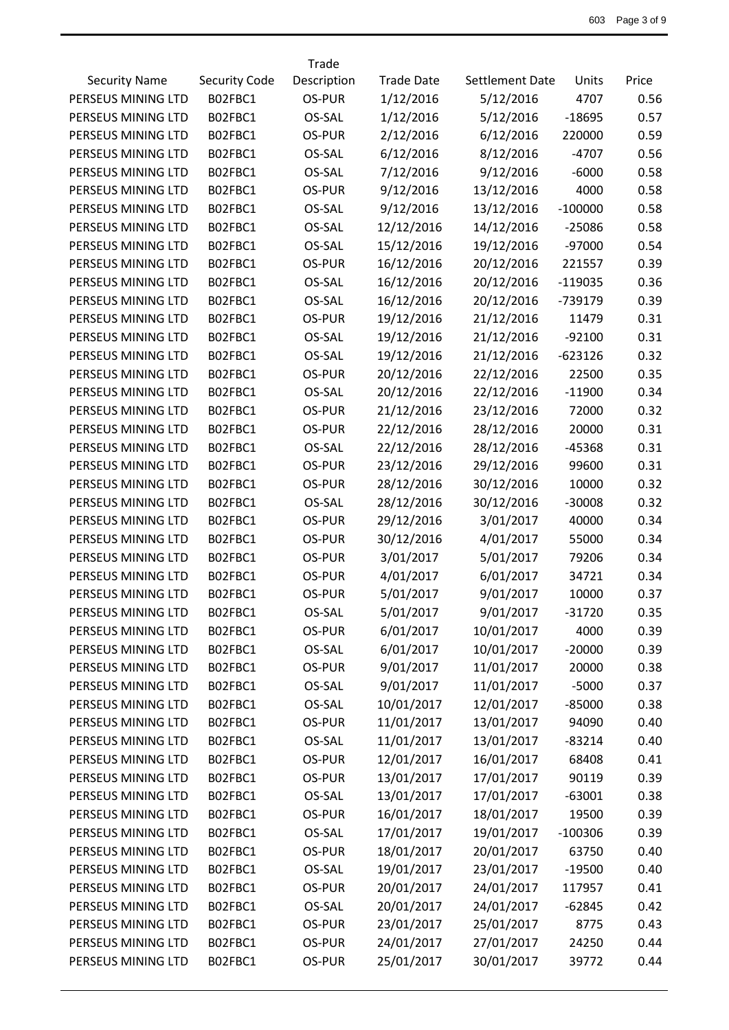|                      |                      | Trade       |                   |                        |           |       |
|----------------------|----------------------|-------------|-------------------|------------------------|-----------|-------|
| <b>Security Name</b> | <b>Security Code</b> | Description | <b>Trade Date</b> | <b>Settlement Date</b> | Units     | Price |
| PERSEUS MINING LTD   | B02FBC1              | OS-PUR      | 1/12/2016         | 5/12/2016              | 4707      | 0.56  |
| PERSEUS MINING LTD   | B02FBC1              | OS-SAL      | 1/12/2016         | 5/12/2016              | $-18695$  | 0.57  |
| PERSEUS MINING LTD   | B02FBC1              | OS-PUR      | 2/12/2016         | 6/12/2016              | 220000    | 0.59  |
| PERSEUS MINING LTD   | B02FBC1              | OS-SAL      | 6/12/2016         | 8/12/2016              | $-4707$   | 0.56  |
| PERSEUS MINING LTD   | B02FBC1              | OS-SAL      | 7/12/2016         | 9/12/2016              | $-6000$   | 0.58  |
| PERSEUS MINING LTD   | B02FBC1              | OS-PUR      | 9/12/2016         | 13/12/2016             | 4000      | 0.58  |
| PERSEUS MINING LTD   | B02FBC1              | OS-SAL      | 9/12/2016         | 13/12/2016             | $-100000$ | 0.58  |
| PERSEUS MINING LTD   | B02FBC1              | OS-SAL      | 12/12/2016        | 14/12/2016             | $-25086$  | 0.58  |
| PERSEUS MINING LTD   | B02FBC1              | OS-SAL      | 15/12/2016        | 19/12/2016             | $-97000$  | 0.54  |
| PERSEUS MINING LTD   | B02FBC1              | OS-PUR      | 16/12/2016        | 20/12/2016             | 221557    | 0.39  |
| PERSEUS MINING LTD   | B02FBC1              | OS-SAL      | 16/12/2016        | 20/12/2016             | $-119035$ | 0.36  |
| PERSEUS MINING LTD   | B02FBC1              | OS-SAL      | 16/12/2016        | 20/12/2016             | $-739179$ | 0.39  |
| PERSEUS MINING LTD   | B02FBC1              | OS-PUR      | 19/12/2016        | 21/12/2016             | 11479     | 0.31  |
| PERSEUS MINING LTD   | B02FBC1              | OS-SAL      | 19/12/2016        | 21/12/2016             | $-92100$  | 0.31  |
| PERSEUS MINING LTD   | B02FBC1              | OS-SAL      | 19/12/2016        | 21/12/2016             | $-623126$ | 0.32  |
| PERSEUS MINING LTD   | B02FBC1              | OS-PUR      | 20/12/2016        | 22/12/2016             | 22500     | 0.35  |
| PERSEUS MINING LTD   | B02FBC1              | OS-SAL      | 20/12/2016        | 22/12/2016             | $-11900$  | 0.34  |
| PERSEUS MINING LTD   | B02FBC1              | OS-PUR      | 21/12/2016        | 23/12/2016             | 72000     | 0.32  |
| PERSEUS MINING LTD   | B02FBC1              | OS-PUR      | 22/12/2016        | 28/12/2016             | 20000     | 0.31  |
| PERSEUS MINING LTD   | B02FBC1              | OS-SAL      | 22/12/2016        | 28/12/2016             | -45368    | 0.31  |
| PERSEUS MINING LTD   | B02FBC1              | OS-PUR      | 23/12/2016        | 29/12/2016             | 99600     | 0.31  |
| PERSEUS MINING LTD   | B02FBC1              | OS-PUR      | 28/12/2016        | 30/12/2016             | 10000     | 0.32  |
| PERSEUS MINING LTD   | B02FBC1              | OS-SAL      | 28/12/2016        | 30/12/2016             | $-30008$  | 0.32  |
| PERSEUS MINING LTD   | B02FBC1              | OS-PUR      | 29/12/2016        | 3/01/2017              | 40000     | 0.34  |
| PERSEUS MINING LTD   | B02FBC1              | OS-PUR      | 30/12/2016        | 4/01/2017              | 55000     | 0.34  |
| PERSEUS MINING LTD   | B02FBC1              | OS-PUR      | 3/01/2017         | 5/01/2017              | 79206     | 0.34  |
| PERSEUS MINING LTD   | B02FBC1              | OS-PUR      | 4/01/2017         | 6/01/2017              | 34721     | 0.34  |
| PERSEUS MINING LTD   | B02FBC1              | OS-PUR      | 5/01/2017         | 9/01/2017              | 10000     | 0.37  |
| PERSEUS MINING LTD   | B02FBC1              | OS-SAL      | 5/01/2017         | 9/01/2017              | $-31720$  | 0.35  |
| PERSEUS MINING LTD   | B02FBC1              | OS-PUR      | 6/01/2017         | 10/01/2017             | 4000      | 0.39  |
| PERSEUS MINING LTD   | B02FBC1              | OS-SAL      | 6/01/2017         | 10/01/2017             | $-20000$  | 0.39  |
| PERSEUS MINING LTD   | B02FBC1              | OS-PUR      | 9/01/2017         | 11/01/2017             | 20000     | 0.38  |
| PERSEUS MINING LTD   | B02FBC1              | OS-SAL      | 9/01/2017         | 11/01/2017             | $-5000$   | 0.37  |
| PERSEUS MINING LTD   | B02FBC1              | OS-SAL      | 10/01/2017        | 12/01/2017             | $-85000$  | 0.38  |
| PERSEUS MINING LTD   | B02FBC1              | OS-PUR      | 11/01/2017        | 13/01/2017             | 94090     | 0.40  |
| PERSEUS MINING LTD   | B02FBC1              | OS-SAL      | 11/01/2017        | 13/01/2017             | $-83214$  | 0.40  |
| PERSEUS MINING LTD   | B02FBC1              | OS-PUR      | 12/01/2017        | 16/01/2017             | 68408     | 0.41  |
| PERSEUS MINING LTD   | B02FBC1              | OS-PUR      | 13/01/2017        | 17/01/2017             | 90119     | 0.39  |
| PERSEUS MINING LTD   | B02FBC1              | OS-SAL      | 13/01/2017        | 17/01/2017             | $-63001$  | 0.38  |
| PERSEUS MINING LTD   | B02FBC1              | OS-PUR      | 16/01/2017        | 18/01/2017             | 19500     | 0.39  |
| PERSEUS MINING LTD   | B02FBC1              | OS-SAL      | 17/01/2017        | 19/01/2017             | $-100306$ | 0.39  |
| PERSEUS MINING LTD   | B02FBC1              | OS-PUR      | 18/01/2017        | 20/01/2017             | 63750     | 0.40  |
| PERSEUS MINING LTD   | B02FBC1              | OS-SAL      | 19/01/2017        | 23/01/2017             | $-19500$  | 0.40  |
| PERSEUS MINING LTD   | B02FBC1              | OS-PUR      | 20/01/2017        | 24/01/2017             | 117957    | 0.41  |
| PERSEUS MINING LTD   | B02FBC1              | OS-SAL      | 20/01/2017        | 24/01/2017             | $-62845$  | 0.42  |
| PERSEUS MINING LTD   | B02FBC1              | OS-PUR      | 23/01/2017        | 25/01/2017             | 8775      | 0.43  |
| PERSEUS MINING LTD   | B02FBC1              | OS-PUR      | 24/01/2017        | 27/01/2017             | 24250     | 0.44  |
| PERSEUS MINING LTD   | B02FBC1              | OS-PUR      | 25/01/2017        | 30/01/2017             | 39772     | 0.44  |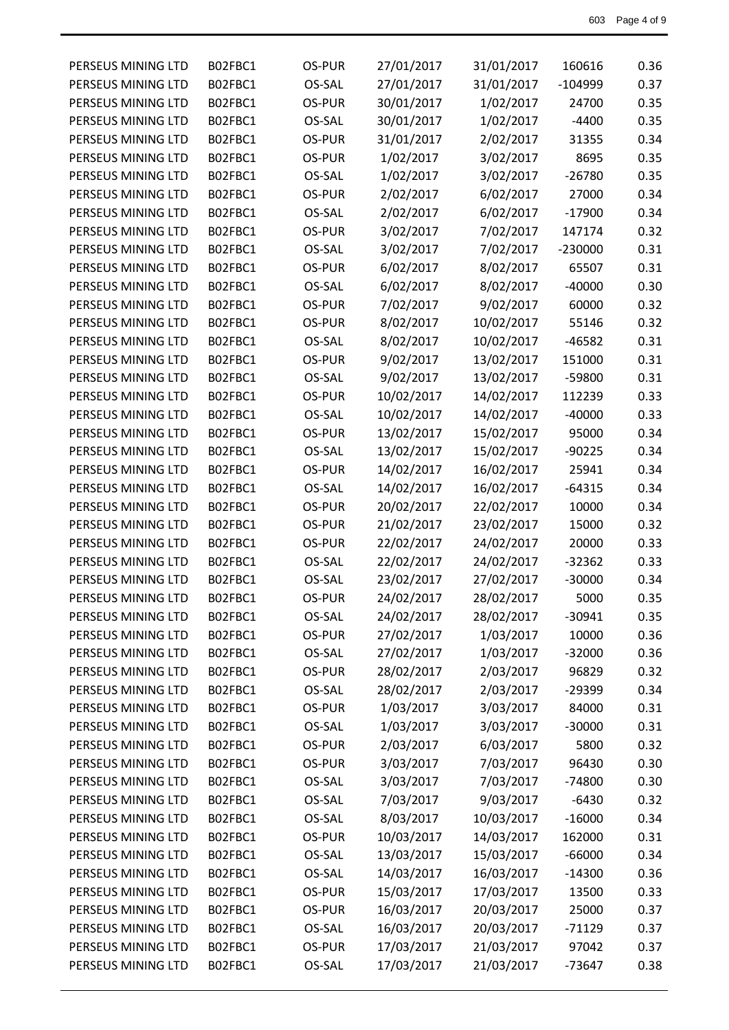| PERSEUS MINING LTD | B02FBC1 | OS-PUR | 27/01/2017 | 31/01/2017 | 160616    | 0.36 |
|--------------------|---------|--------|------------|------------|-----------|------|
| PERSEUS MINING LTD | B02FBC1 | OS-SAL | 27/01/2017 | 31/01/2017 | $-104999$ | 0.37 |
| PERSEUS MINING LTD | B02FBC1 | OS-PUR | 30/01/2017 | 1/02/2017  | 24700     | 0.35 |
| PERSEUS MINING LTD | B02FBC1 | OS-SAL | 30/01/2017 | 1/02/2017  | $-4400$   | 0.35 |
| PERSEUS MINING LTD | B02FBC1 | OS-PUR | 31/01/2017 | 2/02/2017  | 31355     | 0.34 |
| PERSEUS MINING LTD | B02FBC1 | OS-PUR | 1/02/2017  | 3/02/2017  | 8695      | 0.35 |
| PERSEUS MINING LTD | B02FBC1 | OS-SAL | 1/02/2017  | 3/02/2017  | $-26780$  | 0.35 |
| PERSEUS MINING LTD | B02FBC1 | OS-PUR | 2/02/2017  | 6/02/2017  | 27000     | 0.34 |
| PERSEUS MINING LTD | B02FBC1 | OS-SAL | 2/02/2017  | 6/02/2017  | $-17900$  | 0.34 |
| PERSEUS MINING LTD | B02FBC1 | OS-PUR | 3/02/2017  | 7/02/2017  | 147174    | 0.32 |
| PERSEUS MINING LTD | B02FBC1 | OS-SAL | 3/02/2017  | 7/02/2017  | $-230000$ | 0.31 |
| PERSEUS MINING LTD | B02FBC1 | OS-PUR | 6/02/2017  | 8/02/2017  | 65507     | 0.31 |
| PERSEUS MINING LTD | B02FBC1 | OS-SAL | 6/02/2017  | 8/02/2017  | $-40000$  | 0.30 |
| PERSEUS MINING LTD | B02FBC1 | OS-PUR | 7/02/2017  | 9/02/2017  | 60000     | 0.32 |
| PERSEUS MINING LTD | B02FBC1 | OS-PUR | 8/02/2017  | 10/02/2017 | 55146     | 0.32 |
| PERSEUS MINING LTD | B02FBC1 | OS-SAL | 8/02/2017  | 10/02/2017 | $-46582$  | 0.31 |
| PERSEUS MINING LTD | B02FBC1 | OS-PUR | 9/02/2017  | 13/02/2017 | 151000    | 0.31 |
| PERSEUS MINING LTD | B02FBC1 | OS-SAL | 9/02/2017  | 13/02/2017 | -59800    | 0.31 |
| PERSEUS MINING LTD | B02FBC1 | OS-PUR | 10/02/2017 | 14/02/2017 | 112239    | 0.33 |
| PERSEUS MINING LTD | B02FBC1 | OS-SAL | 10/02/2017 | 14/02/2017 | $-40000$  | 0.33 |
| PERSEUS MINING LTD | B02FBC1 | OS-PUR | 13/02/2017 | 15/02/2017 | 95000     | 0.34 |
| PERSEUS MINING LTD | B02FBC1 | OS-SAL | 13/02/2017 | 15/02/2017 | $-90225$  | 0.34 |
| PERSEUS MINING LTD | B02FBC1 | OS-PUR | 14/02/2017 | 16/02/2017 | 25941     | 0.34 |
| PERSEUS MINING LTD | B02FBC1 | OS-SAL | 14/02/2017 | 16/02/2017 | $-64315$  | 0.34 |
| PERSEUS MINING LTD | B02FBC1 | OS-PUR | 20/02/2017 | 22/02/2017 | 10000     | 0.34 |
| PERSEUS MINING LTD | B02FBC1 | OS-PUR | 21/02/2017 | 23/02/2017 | 15000     | 0.32 |
| PERSEUS MINING LTD | B02FBC1 | OS-PUR | 22/02/2017 | 24/02/2017 | 20000     | 0.33 |
| PERSEUS MINING LTD | B02FBC1 | OS-SAL | 22/02/2017 | 24/02/2017 | $-32362$  | 0.33 |
| PERSEUS MINING LTD | B02FBC1 | OS-SAL | 23/02/2017 | 27/02/2017 | $-30000$  | 0.34 |
| PERSEUS MINING LTD | B02FBC1 | OS-PUR | 24/02/2017 | 28/02/2017 | 5000      | 0.35 |
| PERSEUS MINING LTD | B02FBC1 | OS-SAL | 24/02/2017 | 28/02/2017 | $-30941$  | 0.35 |
| PERSEUS MINING LTD | B02FBC1 | OS-PUR | 27/02/2017 | 1/03/2017  | 10000     | 0.36 |
| PERSEUS MINING LTD | B02FBC1 | OS-SAL | 27/02/2017 | 1/03/2017  | $-32000$  | 0.36 |
| PERSEUS MINING LTD | B02FBC1 | OS-PUR | 28/02/2017 | 2/03/2017  | 96829     | 0.32 |
| PERSEUS MINING LTD | B02FBC1 | OS-SAL | 28/02/2017 | 2/03/2017  | $-29399$  | 0.34 |
| PERSEUS MINING LTD | B02FBC1 | OS-PUR | 1/03/2017  | 3/03/2017  | 84000     | 0.31 |
| PERSEUS MINING LTD | B02FBC1 | OS-SAL | 1/03/2017  | 3/03/2017  | $-30000$  | 0.31 |
| PERSEUS MINING LTD | B02FBC1 | OS-PUR | 2/03/2017  | 6/03/2017  | 5800      | 0.32 |
| PERSEUS MINING LTD | B02FBC1 | OS-PUR | 3/03/2017  | 7/03/2017  | 96430     | 0.30 |
| PERSEUS MINING LTD | B02FBC1 | OS-SAL | 3/03/2017  | 7/03/2017  | $-74800$  | 0.30 |
| PERSEUS MINING LTD | B02FBC1 | OS-SAL | 7/03/2017  | 9/03/2017  | $-6430$   | 0.32 |
| PERSEUS MINING LTD | B02FBC1 | OS-SAL | 8/03/2017  | 10/03/2017 | $-16000$  | 0.34 |
| PERSEUS MINING LTD | B02FBC1 | OS-PUR | 10/03/2017 | 14/03/2017 | 162000    | 0.31 |
| PERSEUS MINING LTD | B02FBC1 | OS-SAL | 13/03/2017 | 15/03/2017 | $-66000$  | 0.34 |
| PERSEUS MINING LTD | B02FBC1 | OS-SAL | 14/03/2017 | 16/03/2017 | $-14300$  | 0.36 |
| PERSEUS MINING LTD | B02FBC1 | OS-PUR | 15/03/2017 | 17/03/2017 | 13500     | 0.33 |
| PERSEUS MINING LTD | B02FBC1 | OS-PUR | 16/03/2017 | 20/03/2017 | 25000     | 0.37 |
| PERSEUS MINING LTD | B02FBC1 | OS-SAL | 16/03/2017 | 20/03/2017 | $-71129$  | 0.37 |
| PERSEUS MINING LTD | B02FBC1 | OS-PUR | 17/03/2017 | 21/03/2017 | 97042     | 0.37 |
| PERSEUS MINING LTD | B02FBC1 | OS-SAL | 17/03/2017 | 21/03/2017 | $-73647$  | 0.38 |
|                    |         |        |            |            |           |      |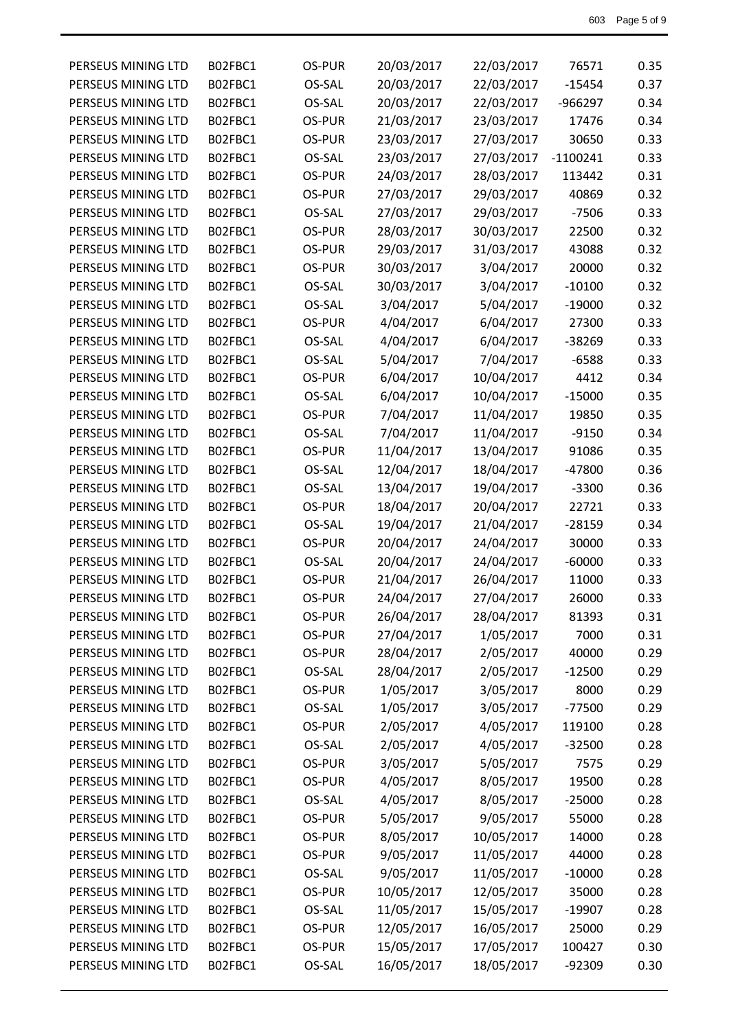| PERSEUS MINING LTD | B02FBC1 | OS-PUR | 20/03/2017 | 22/03/2017 | 76571      | 0.35 |
|--------------------|---------|--------|------------|------------|------------|------|
| PERSEUS MINING LTD | B02FBC1 | OS-SAL | 20/03/2017 | 22/03/2017 | $-15454$   | 0.37 |
| PERSEUS MINING LTD | B02FBC1 | OS-SAL | 20/03/2017 | 22/03/2017 | $-966297$  | 0.34 |
| PERSEUS MINING LTD | B02FBC1 | OS-PUR | 21/03/2017 | 23/03/2017 | 17476      | 0.34 |
| PERSEUS MINING LTD | B02FBC1 | OS-PUR | 23/03/2017 | 27/03/2017 | 30650      | 0.33 |
| PERSEUS MINING LTD | B02FBC1 | OS-SAL | 23/03/2017 | 27/03/2017 | $-1100241$ | 0.33 |
| PERSEUS MINING LTD | B02FBC1 | OS-PUR | 24/03/2017 | 28/03/2017 | 113442     | 0.31 |
| PERSEUS MINING LTD | B02FBC1 | OS-PUR | 27/03/2017 | 29/03/2017 | 40869      | 0.32 |
| PERSEUS MINING LTD | B02FBC1 | OS-SAL | 27/03/2017 | 29/03/2017 | $-7506$    | 0.33 |
| PERSEUS MINING LTD | B02FBC1 | OS-PUR | 28/03/2017 | 30/03/2017 | 22500      | 0.32 |
| PERSEUS MINING LTD | B02FBC1 | OS-PUR | 29/03/2017 | 31/03/2017 | 43088      | 0.32 |
| PERSEUS MINING LTD | B02FBC1 | OS-PUR | 30/03/2017 | 3/04/2017  | 20000      | 0.32 |
| PERSEUS MINING LTD | B02FBC1 | OS-SAL | 30/03/2017 | 3/04/2017  | $-10100$   | 0.32 |
| PERSEUS MINING LTD | B02FBC1 | OS-SAL | 3/04/2017  | 5/04/2017  | $-19000$   | 0.32 |
| PERSEUS MINING LTD | B02FBC1 | OS-PUR | 4/04/2017  | 6/04/2017  | 27300      | 0.33 |
| PERSEUS MINING LTD | B02FBC1 | OS-SAL | 4/04/2017  | 6/04/2017  | -38269     | 0.33 |
| PERSEUS MINING LTD | B02FBC1 | OS-SAL | 5/04/2017  | 7/04/2017  | $-6588$    | 0.33 |
| PERSEUS MINING LTD | B02FBC1 | OS-PUR | 6/04/2017  | 10/04/2017 | 4412       | 0.34 |
| PERSEUS MINING LTD | B02FBC1 | OS-SAL | 6/04/2017  | 10/04/2017 | $-15000$   | 0.35 |
| PERSEUS MINING LTD | B02FBC1 | OS-PUR | 7/04/2017  | 11/04/2017 | 19850      | 0.35 |
| PERSEUS MINING LTD | B02FBC1 | OS-SAL | 7/04/2017  | 11/04/2017 | $-9150$    | 0.34 |
| PERSEUS MINING LTD | B02FBC1 | OS-PUR | 11/04/2017 | 13/04/2017 | 91086      | 0.35 |
| PERSEUS MINING LTD | B02FBC1 | OS-SAL | 12/04/2017 | 18/04/2017 | -47800     | 0.36 |
| PERSEUS MINING LTD | B02FBC1 | OS-SAL | 13/04/2017 | 19/04/2017 | $-3300$    | 0.36 |
| PERSEUS MINING LTD | B02FBC1 | OS-PUR | 18/04/2017 | 20/04/2017 | 22721      | 0.33 |
| PERSEUS MINING LTD | B02FBC1 | OS-SAL | 19/04/2017 | 21/04/2017 | $-28159$   | 0.34 |
| PERSEUS MINING LTD | B02FBC1 | OS-PUR | 20/04/2017 | 24/04/2017 | 30000      | 0.33 |
| PERSEUS MINING LTD | B02FBC1 | OS-SAL | 20/04/2017 | 24/04/2017 | $-60000$   | 0.33 |
| PERSEUS MINING LTD | B02FBC1 | OS-PUR | 21/04/2017 | 26/04/2017 | 11000      | 0.33 |
| PERSEUS MINING LTD | B02FBC1 | OS-PUR | 24/04/2017 | 27/04/2017 | 26000      | 0.33 |
| PERSEUS MINING LTD | B02FBC1 | OS-PUR | 26/04/2017 | 28/04/2017 | 81393      | 0.31 |
| PERSEUS MINING LTD | B02FBC1 | OS-PUR | 27/04/2017 | 1/05/2017  | 7000       | 0.31 |
| PERSEUS MINING LTD | B02FBC1 | OS-PUR | 28/04/2017 | 2/05/2017  | 40000      | 0.29 |
| PERSEUS MINING LTD | B02FBC1 | OS-SAL | 28/04/2017 | 2/05/2017  | $-12500$   | 0.29 |
| PERSEUS MINING LTD | B02FBC1 | OS-PUR | 1/05/2017  | 3/05/2017  | 8000       | 0.29 |
| PERSEUS MINING LTD | B02FBC1 | OS-SAL | 1/05/2017  | 3/05/2017  | $-77500$   | 0.29 |
| PERSEUS MINING LTD | B02FBC1 | OS-PUR | 2/05/2017  | 4/05/2017  | 119100     | 0.28 |
| PERSEUS MINING LTD | B02FBC1 | OS-SAL | 2/05/2017  | 4/05/2017  | $-32500$   | 0.28 |
| PERSEUS MINING LTD | B02FBC1 | OS-PUR | 3/05/2017  | 5/05/2017  | 7575       | 0.29 |
| PERSEUS MINING LTD | B02FBC1 | OS-PUR | 4/05/2017  | 8/05/2017  | 19500      | 0.28 |
| PERSEUS MINING LTD | B02FBC1 | OS-SAL | 4/05/2017  | 8/05/2017  | $-25000$   | 0.28 |
| PERSEUS MINING LTD | B02FBC1 | OS-PUR | 5/05/2017  | 9/05/2017  | 55000      | 0.28 |
| PERSEUS MINING LTD | B02FBC1 | OS-PUR | 8/05/2017  | 10/05/2017 | 14000      | 0.28 |
| PERSEUS MINING LTD | B02FBC1 | OS-PUR | 9/05/2017  | 11/05/2017 | 44000      | 0.28 |
| PERSEUS MINING LTD | B02FBC1 | OS-SAL | 9/05/2017  | 11/05/2017 | $-10000$   | 0.28 |
| PERSEUS MINING LTD | B02FBC1 | OS-PUR | 10/05/2017 | 12/05/2017 | 35000      | 0.28 |
| PERSEUS MINING LTD | B02FBC1 | OS-SAL | 11/05/2017 | 15/05/2017 | $-19907$   | 0.28 |
| PERSEUS MINING LTD | B02FBC1 | OS-PUR | 12/05/2017 | 16/05/2017 | 25000      | 0.29 |
| PERSEUS MINING LTD | B02FBC1 | OS-PUR | 15/05/2017 | 17/05/2017 | 100427     | 0.30 |
| PERSEUS MINING LTD | B02FBC1 | OS-SAL | 16/05/2017 | 18/05/2017 | -92309     | 0.30 |
|                    |         |        |            |            |            |      |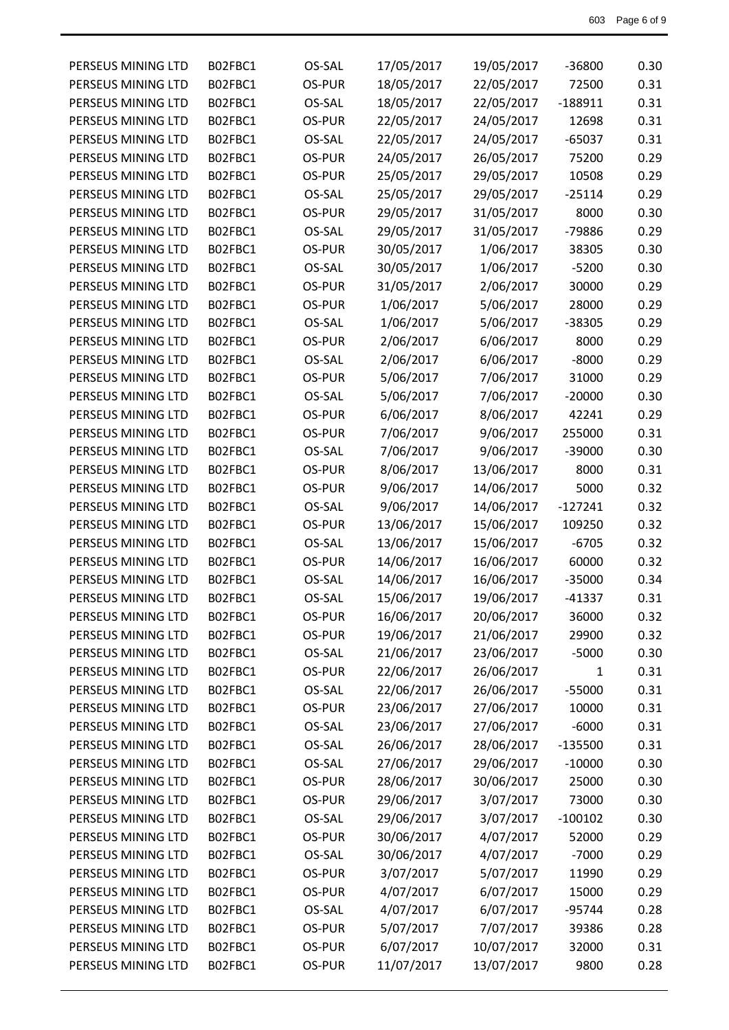| PERSEUS MINING LTD | B02FBC1 | OS-SAL | 17/05/2017 | 19/05/2017 | -36800       | 0.30 |
|--------------------|---------|--------|------------|------------|--------------|------|
| PERSEUS MINING LTD | B02FBC1 | OS-PUR | 18/05/2017 | 22/05/2017 | 72500        | 0.31 |
| PERSEUS MINING LTD | B02FBC1 | OS-SAL | 18/05/2017 | 22/05/2017 | $-188911$    | 0.31 |
| PERSEUS MINING LTD | B02FBC1 | OS-PUR | 22/05/2017 | 24/05/2017 | 12698        | 0.31 |
| PERSEUS MINING LTD | B02FBC1 | OS-SAL | 22/05/2017 | 24/05/2017 | $-65037$     | 0.31 |
| PERSEUS MINING LTD | B02FBC1 | OS-PUR | 24/05/2017 | 26/05/2017 | 75200        | 0.29 |
| PERSEUS MINING LTD | B02FBC1 | OS-PUR | 25/05/2017 | 29/05/2017 | 10508        | 0.29 |
| PERSEUS MINING LTD | B02FBC1 | OS-SAL | 25/05/2017 | 29/05/2017 | $-25114$     | 0.29 |
| PERSEUS MINING LTD | B02FBC1 | OS-PUR | 29/05/2017 | 31/05/2017 | 8000         | 0.30 |
| PERSEUS MINING LTD | B02FBC1 | OS-SAL | 29/05/2017 | 31/05/2017 | -79886       | 0.29 |
| PERSEUS MINING LTD | B02FBC1 | OS-PUR | 30/05/2017 | 1/06/2017  | 38305        | 0.30 |
| PERSEUS MINING LTD | B02FBC1 | OS-SAL | 30/05/2017 | 1/06/2017  | $-5200$      | 0.30 |
| PERSEUS MINING LTD | B02FBC1 | OS-PUR | 31/05/2017 | 2/06/2017  | 30000        | 0.29 |
| PERSEUS MINING LTD | B02FBC1 | OS-PUR | 1/06/2017  | 5/06/2017  | 28000        | 0.29 |
| PERSEUS MINING LTD | B02FBC1 | OS-SAL | 1/06/2017  | 5/06/2017  | -38305       | 0.29 |
| PERSEUS MINING LTD | B02FBC1 | OS-PUR | 2/06/2017  | 6/06/2017  | 8000         | 0.29 |
| PERSEUS MINING LTD | B02FBC1 | OS-SAL | 2/06/2017  | 6/06/2017  | $-8000$      | 0.29 |
| PERSEUS MINING LTD | B02FBC1 | OS-PUR | 5/06/2017  | 7/06/2017  | 31000        | 0.29 |
| PERSEUS MINING LTD | B02FBC1 | OS-SAL | 5/06/2017  | 7/06/2017  | $-20000$     | 0.30 |
| PERSEUS MINING LTD | B02FBC1 | OS-PUR | 6/06/2017  | 8/06/2017  | 42241        | 0.29 |
| PERSEUS MINING LTD | B02FBC1 | OS-PUR | 7/06/2017  | 9/06/2017  | 255000       | 0.31 |
| PERSEUS MINING LTD | B02FBC1 | OS-SAL | 7/06/2017  | 9/06/2017  | $-39000$     | 0.30 |
| PERSEUS MINING LTD | B02FBC1 | OS-PUR | 8/06/2017  | 13/06/2017 | 8000         | 0.31 |
| PERSEUS MINING LTD | B02FBC1 | OS-PUR | 9/06/2017  | 14/06/2017 | 5000         | 0.32 |
| PERSEUS MINING LTD | B02FBC1 | OS-SAL | 9/06/2017  | 14/06/2017 | $-127241$    | 0.32 |
| PERSEUS MINING LTD | B02FBC1 | OS-PUR | 13/06/2017 | 15/06/2017 | 109250       | 0.32 |
| PERSEUS MINING LTD | B02FBC1 | OS-SAL | 13/06/2017 | 15/06/2017 | $-6705$      | 0.32 |
| PERSEUS MINING LTD | B02FBC1 | OS-PUR | 14/06/2017 | 16/06/2017 | 60000        | 0.32 |
| PERSEUS MINING LTD | B02FBC1 | OS-SAL | 14/06/2017 | 16/06/2017 | $-35000$     | 0.34 |
| PERSEUS MINING LTD | B02FBC1 | OS-SAL | 15/06/2017 | 19/06/2017 | $-41337$     | 0.31 |
| PERSEUS MINING LTD | B02FBC1 | OS-PUR | 16/06/2017 | 20/06/2017 | 36000        | 0.32 |
| PERSEUS MINING LTD | B02FBC1 | OS-PUR | 19/06/2017 | 21/06/2017 | 29900        | 0.32 |
| PERSEUS MINING LTD | B02FBC1 | OS-SAL | 21/06/2017 | 23/06/2017 | $-5000$      | 0.30 |
| PERSEUS MINING LTD | B02FBC1 | OS-PUR | 22/06/2017 | 26/06/2017 | $\mathbf{1}$ | 0.31 |
| PERSEUS MINING LTD | B02FBC1 | OS-SAL | 22/06/2017 | 26/06/2017 | $-55000$     | 0.31 |
| PERSEUS MINING LTD | B02FBC1 | OS-PUR | 23/06/2017 | 27/06/2017 | 10000        | 0.31 |
| PERSEUS MINING LTD | B02FBC1 | OS-SAL | 23/06/2017 | 27/06/2017 | $-6000$      | 0.31 |
| PERSEUS MINING LTD | B02FBC1 | OS-SAL | 26/06/2017 | 28/06/2017 | $-135500$    | 0.31 |
| PERSEUS MINING LTD | B02FBC1 | OS-SAL | 27/06/2017 | 29/06/2017 | $-10000$     | 0.30 |
| PERSEUS MINING LTD | B02FBC1 | OS-PUR | 28/06/2017 | 30/06/2017 | 25000        | 0.30 |
| PERSEUS MINING LTD | B02FBC1 | OS-PUR | 29/06/2017 | 3/07/2017  | 73000        | 0.30 |
| PERSEUS MINING LTD | B02FBC1 | OS-SAL | 29/06/2017 | 3/07/2017  | $-100102$    | 0.30 |
| PERSEUS MINING LTD | B02FBC1 | OS-PUR | 30/06/2017 | 4/07/2017  | 52000        | 0.29 |
| PERSEUS MINING LTD | B02FBC1 | OS-SAL | 30/06/2017 | 4/07/2017  | $-7000$      | 0.29 |
| PERSEUS MINING LTD | B02FBC1 | OS-PUR | 3/07/2017  | 5/07/2017  | 11990        | 0.29 |
| PERSEUS MINING LTD | B02FBC1 | OS-PUR | 4/07/2017  | 6/07/2017  | 15000        | 0.29 |
| PERSEUS MINING LTD | B02FBC1 | OS-SAL | 4/07/2017  | 6/07/2017  | $-95744$     | 0.28 |
| PERSEUS MINING LTD | B02FBC1 | OS-PUR | 5/07/2017  | 7/07/2017  | 39386        | 0.28 |
| PERSEUS MINING LTD | B02FBC1 | OS-PUR | 6/07/2017  | 10/07/2017 | 32000        | 0.31 |
| PERSEUS MINING LTD | B02FBC1 | OS-PUR | 11/07/2017 | 13/07/2017 | 9800         | 0.28 |
|                    |         |        |            |            |              |      |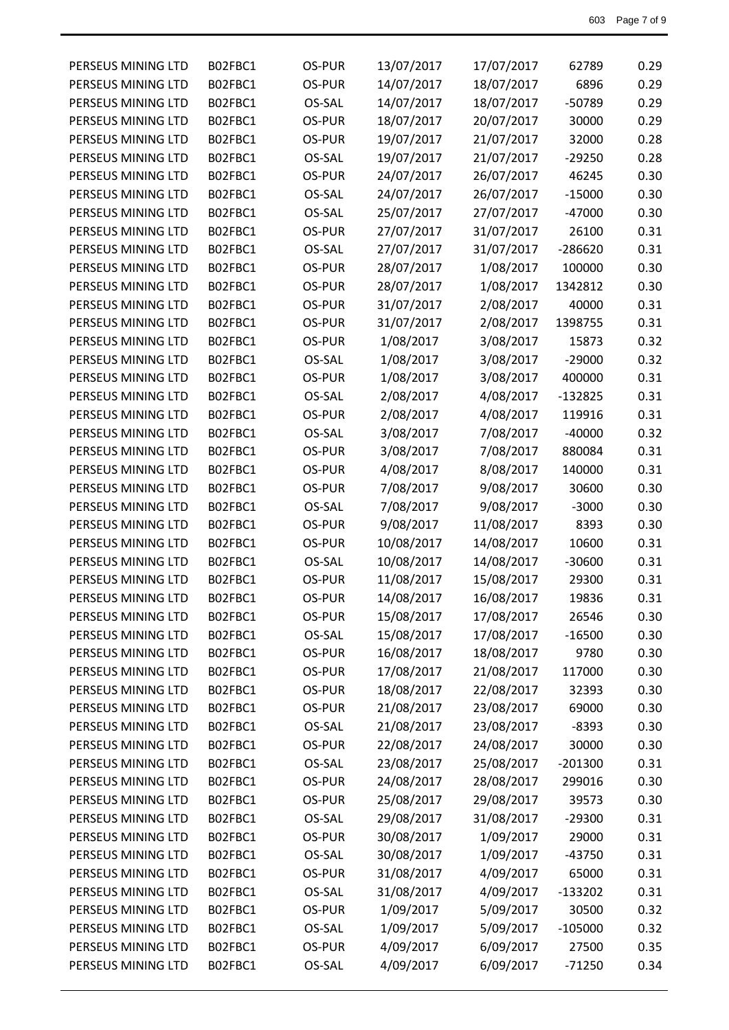| PERSEUS MINING LTD | B02FBC1 | OS-PUR | 13/07/2017 | 17/07/2017 | 62789     | 0.29 |
|--------------------|---------|--------|------------|------------|-----------|------|
| PERSEUS MINING LTD | B02FBC1 | OS-PUR | 14/07/2017 | 18/07/2017 | 6896      | 0.29 |
| PERSEUS MINING LTD | B02FBC1 | OS-SAL | 14/07/2017 | 18/07/2017 | -50789    | 0.29 |
| PERSEUS MINING LTD | B02FBC1 | OS-PUR | 18/07/2017 | 20/07/2017 | 30000     | 0.29 |
| PERSEUS MINING LTD | B02FBC1 | OS-PUR | 19/07/2017 | 21/07/2017 | 32000     | 0.28 |
| PERSEUS MINING LTD | B02FBC1 | OS-SAL | 19/07/2017 | 21/07/2017 | $-29250$  | 0.28 |
| PERSEUS MINING LTD | B02FBC1 | OS-PUR | 24/07/2017 | 26/07/2017 | 46245     | 0.30 |
| PERSEUS MINING LTD | B02FBC1 | OS-SAL | 24/07/2017 | 26/07/2017 | $-15000$  | 0.30 |
| PERSEUS MINING LTD | B02FBC1 | OS-SAL | 25/07/2017 | 27/07/2017 | $-47000$  | 0.30 |
| PERSEUS MINING LTD | B02FBC1 | OS-PUR | 27/07/2017 | 31/07/2017 | 26100     | 0.31 |
| PERSEUS MINING LTD | B02FBC1 | OS-SAL | 27/07/2017 | 31/07/2017 | $-286620$ | 0.31 |
| PERSEUS MINING LTD | B02FBC1 | OS-PUR | 28/07/2017 | 1/08/2017  | 100000    | 0.30 |
| PERSEUS MINING LTD | B02FBC1 | OS-PUR | 28/07/2017 | 1/08/2017  | 1342812   | 0.30 |
| PERSEUS MINING LTD | B02FBC1 | OS-PUR | 31/07/2017 | 2/08/2017  | 40000     | 0.31 |
| PERSEUS MINING LTD | B02FBC1 | OS-PUR | 31/07/2017 | 2/08/2017  | 1398755   | 0.31 |
| PERSEUS MINING LTD | B02FBC1 | OS-PUR | 1/08/2017  | 3/08/2017  | 15873     | 0.32 |
| PERSEUS MINING LTD | B02FBC1 | OS-SAL | 1/08/2017  | 3/08/2017  | $-29000$  | 0.32 |
| PERSEUS MINING LTD | B02FBC1 | OS-PUR | 1/08/2017  | 3/08/2017  | 400000    | 0.31 |
| PERSEUS MINING LTD | B02FBC1 | OS-SAL | 2/08/2017  | 4/08/2017  | $-132825$ | 0.31 |
| PERSEUS MINING LTD | B02FBC1 | OS-PUR | 2/08/2017  | 4/08/2017  | 119916    | 0.31 |
| PERSEUS MINING LTD | B02FBC1 | OS-SAL | 3/08/2017  | 7/08/2017  | $-40000$  | 0.32 |
| PERSEUS MINING LTD | B02FBC1 | OS-PUR | 3/08/2017  | 7/08/2017  | 880084    | 0.31 |
| PERSEUS MINING LTD | B02FBC1 | OS-PUR | 4/08/2017  | 8/08/2017  | 140000    | 0.31 |
| PERSEUS MINING LTD | B02FBC1 | OS-PUR | 7/08/2017  | 9/08/2017  | 30600     | 0.30 |
| PERSEUS MINING LTD | B02FBC1 | OS-SAL | 7/08/2017  | 9/08/2017  | $-3000$   | 0.30 |
| PERSEUS MINING LTD | B02FBC1 | OS-PUR | 9/08/2017  | 11/08/2017 | 8393      | 0.30 |
| PERSEUS MINING LTD | B02FBC1 | OS-PUR | 10/08/2017 | 14/08/2017 | 10600     | 0.31 |
| PERSEUS MINING LTD | B02FBC1 | OS-SAL | 10/08/2017 | 14/08/2017 | $-30600$  | 0.31 |
| PERSEUS MINING LTD | B02FBC1 | OS-PUR | 11/08/2017 | 15/08/2017 | 29300     | 0.31 |
| PERSEUS MINING LTD | B02FBC1 | OS-PUR | 14/08/2017 | 16/08/2017 | 19836     | 0.31 |
| PERSEUS MINING LTD | B02FBC1 | OS-PUR | 15/08/2017 | 17/08/2017 | 26546     | 0.30 |
| PERSEUS MINING LTD | B02FBC1 | OS-SAL | 15/08/2017 | 17/08/2017 | $-16500$  | 0.30 |
| PERSEUS MINING LTD | B02FBC1 | OS-PUR | 16/08/2017 | 18/08/2017 | 9780      | 0.30 |
| PERSEUS MINING LTD | B02FBC1 | OS-PUR | 17/08/2017 | 21/08/2017 | 117000    | 0.30 |
| PERSEUS MINING LTD | B02FBC1 | OS-PUR | 18/08/2017 | 22/08/2017 | 32393     | 0.30 |
| PERSEUS MINING LTD | B02FBC1 | OS-PUR | 21/08/2017 | 23/08/2017 | 69000     | 0.30 |
| PERSEUS MINING LTD | B02FBC1 | OS-SAL | 21/08/2017 | 23/08/2017 | $-8393$   | 0.30 |
| PERSEUS MINING LTD | B02FBC1 | OS-PUR | 22/08/2017 | 24/08/2017 | 30000     | 0.30 |
| PERSEUS MINING LTD | B02FBC1 | OS-SAL | 23/08/2017 | 25/08/2017 | $-201300$ | 0.31 |
| PERSEUS MINING LTD | B02FBC1 | OS-PUR | 24/08/2017 | 28/08/2017 | 299016    | 0.30 |
| PERSEUS MINING LTD | B02FBC1 | OS-PUR | 25/08/2017 | 29/08/2017 | 39573     | 0.30 |
| PERSEUS MINING LTD | B02FBC1 | OS-SAL | 29/08/2017 | 31/08/2017 | $-29300$  | 0.31 |
| PERSEUS MINING LTD | B02FBC1 | OS-PUR | 30/08/2017 | 1/09/2017  | 29000     | 0.31 |
| PERSEUS MINING LTD | B02FBC1 | OS-SAL | 30/08/2017 | 1/09/2017  | $-43750$  | 0.31 |
| PERSEUS MINING LTD | B02FBC1 | OS-PUR | 31/08/2017 | 4/09/2017  | 65000     | 0.31 |
| PERSEUS MINING LTD | B02FBC1 | OS-SAL | 31/08/2017 | 4/09/2017  | $-133202$ | 0.31 |
| PERSEUS MINING LTD | B02FBC1 | OS-PUR | 1/09/2017  | 5/09/2017  | 30500     | 0.32 |
| PERSEUS MINING LTD | B02FBC1 | OS-SAL | 1/09/2017  | 5/09/2017  | $-105000$ | 0.32 |
| PERSEUS MINING LTD | B02FBC1 | OS-PUR | 4/09/2017  | 6/09/2017  | 27500     | 0.35 |
| PERSEUS MINING LTD | B02FBC1 | OS-SAL | 4/09/2017  | 6/09/2017  | $-71250$  | 0.34 |
|                    |         |        |            |            |           |      |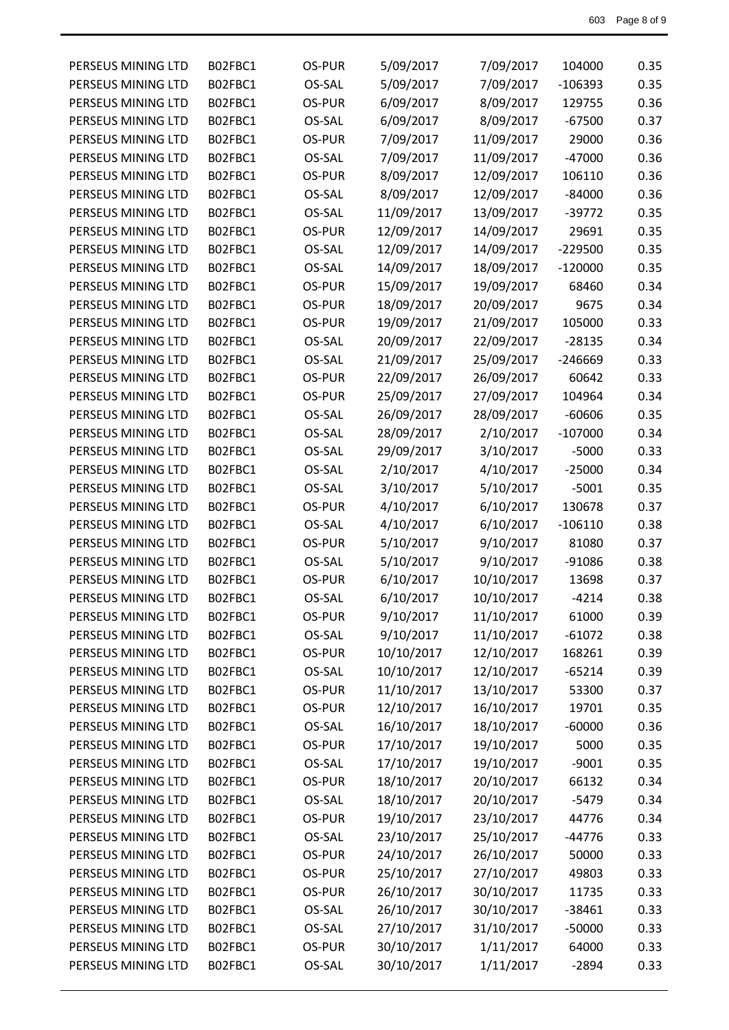| PERSEUS MINING LTD | B02FBC1 | OS-PUR | 5/09/2017  | 7/09/2017  | 104000    | 0.35 |
|--------------------|---------|--------|------------|------------|-----------|------|
| PERSEUS MINING LTD | B02FBC1 | OS-SAL | 5/09/2017  | 7/09/2017  | $-106393$ | 0.35 |
| PERSEUS MINING LTD | B02FBC1 | OS-PUR | 6/09/2017  | 8/09/2017  | 129755    | 0.36 |
| PERSEUS MINING LTD | B02FBC1 | OS-SAL | 6/09/2017  | 8/09/2017  | $-67500$  | 0.37 |
| PERSEUS MINING LTD | B02FBC1 | OS-PUR | 7/09/2017  | 11/09/2017 | 29000     | 0.36 |
| PERSEUS MINING LTD | B02FBC1 | OS-SAL | 7/09/2017  | 11/09/2017 | $-47000$  | 0.36 |
| PERSEUS MINING LTD | B02FBC1 | OS-PUR | 8/09/2017  | 12/09/2017 | 106110    | 0.36 |
| PERSEUS MINING LTD | B02FBC1 | OS-SAL | 8/09/2017  | 12/09/2017 | $-84000$  | 0.36 |
| PERSEUS MINING LTD | B02FBC1 | OS-SAL | 11/09/2017 | 13/09/2017 | $-39772$  | 0.35 |
| PERSEUS MINING LTD | B02FBC1 | OS-PUR | 12/09/2017 | 14/09/2017 | 29691     | 0.35 |
| PERSEUS MINING LTD | B02FBC1 | OS-SAL | 12/09/2017 | 14/09/2017 | $-229500$ | 0.35 |
| PERSEUS MINING LTD | B02FBC1 | OS-SAL | 14/09/2017 | 18/09/2017 | $-120000$ | 0.35 |
| PERSEUS MINING LTD | B02FBC1 | OS-PUR | 15/09/2017 | 19/09/2017 | 68460     | 0.34 |
| PERSEUS MINING LTD | B02FBC1 | OS-PUR | 18/09/2017 | 20/09/2017 | 9675      | 0.34 |
| PERSEUS MINING LTD | B02FBC1 | OS-PUR | 19/09/2017 | 21/09/2017 | 105000    | 0.33 |
| PERSEUS MINING LTD | B02FBC1 | OS-SAL | 20/09/2017 | 22/09/2017 | $-28135$  | 0.34 |
| PERSEUS MINING LTD | B02FBC1 | OS-SAL | 21/09/2017 | 25/09/2017 | $-246669$ | 0.33 |
| PERSEUS MINING LTD | B02FBC1 | OS-PUR | 22/09/2017 | 26/09/2017 | 60642     | 0.33 |
| PERSEUS MINING LTD | B02FBC1 | OS-PUR | 25/09/2017 | 27/09/2017 | 104964    | 0.34 |
| PERSEUS MINING LTD | B02FBC1 | OS-SAL | 26/09/2017 | 28/09/2017 | $-60606$  | 0.35 |
| PERSEUS MINING LTD | B02FBC1 | OS-SAL | 28/09/2017 | 2/10/2017  | $-107000$ | 0.34 |
| PERSEUS MINING LTD | B02FBC1 | OS-SAL | 29/09/2017 | 3/10/2017  | $-5000$   | 0.33 |
| PERSEUS MINING LTD | B02FBC1 | OS-SAL | 2/10/2017  | 4/10/2017  | $-25000$  | 0.34 |
| PERSEUS MINING LTD | B02FBC1 | OS-SAL | 3/10/2017  | 5/10/2017  | $-5001$   | 0.35 |
| PERSEUS MINING LTD | B02FBC1 | OS-PUR | 4/10/2017  | 6/10/2017  | 130678    | 0.37 |
| PERSEUS MINING LTD | B02FBC1 | OS-SAL | 4/10/2017  | 6/10/2017  | $-106110$ | 0.38 |
| PERSEUS MINING LTD | B02FBC1 | OS-PUR | 5/10/2017  | 9/10/2017  | 81080     | 0.37 |
| PERSEUS MINING LTD | B02FBC1 | OS-SAL | 5/10/2017  | 9/10/2017  | $-91086$  | 0.38 |
| PERSEUS MINING LTD | B02FBC1 | OS-PUR | 6/10/2017  | 10/10/2017 | 13698     | 0.37 |
| PERSEUS MINING LTD | B02FBC1 | OS-SAL | 6/10/2017  | 10/10/2017 | $-4214$   | 0.38 |
| PERSEUS MINING LTD | B02FBC1 | OS-PUR | 9/10/2017  | 11/10/2017 | 61000     | 0.39 |
| PERSEUS MINING LTD | B02FBC1 | OS-SAL | 9/10/2017  | 11/10/2017 | $-61072$  | 0.38 |
| PERSEUS MINING LTD | B02FBC1 | OS-PUR | 10/10/2017 | 12/10/2017 | 168261    | 0.39 |
| PERSEUS MINING LTD | B02FBC1 | OS-SAL | 10/10/2017 | 12/10/2017 | $-65214$  | 0.39 |
| PERSEUS MINING LTD | B02FBC1 | OS-PUR | 11/10/2017 | 13/10/2017 | 53300     | 0.37 |
| PERSEUS MINING LTD | B02FBC1 | OS-PUR | 12/10/2017 | 16/10/2017 | 19701     | 0.35 |
| PERSEUS MINING LTD | B02FBC1 | OS-SAL | 16/10/2017 | 18/10/2017 | $-60000$  | 0.36 |
| PERSEUS MINING LTD | B02FBC1 | OS-PUR | 17/10/2017 | 19/10/2017 | 5000      | 0.35 |
| PERSEUS MINING LTD | B02FBC1 | OS-SAL | 17/10/2017 | 19/10/2017 | $-9001$   | 0.35 |
| PERSEUS MINING LTD | B02FBC1 | OS-PUR | 18/10/2017 | 20/10/2017 | 66132     | 0.34 |
| PERSEUS MINING LTD | B02FBC1 | OS-SAL | 18/10/2017 | 20/10/2017 | $-5479$   | 0.34 |
| PERSEUS MINING LTD | B02FBC1 | OS-PUR | 19/10/2017 | 23/10/2017 | 44776     | 0.34 |
| PERSEUS MINING LTD | B02FBC1 | OS-SAL | 23/10/2017 | 25/10/2017 | $-44776$  | 0.33 |
| PERSEUS MINING LTD | B02FBC1 | OS-PUR | 24/10/2017 | 26/10/2017 | 50000     | 0.33 |
| PERSEUS MINING LTD | B02FBC1 | OS-PUR | 25/10/2017 | 27/10/2017 | 49803     | 0.33 |
| PERSEUS MINING LTD | B02FBC1 | OS-PUR | 26/10/2017 | 30/10/2017 | 11735     | 0.33 |
| PERSEUS MINING LTD | B02FBC1 | OS-SAL | 26/10/2017 | 30/10/2017 | $-38461$  | 0.33 |
| PERSEUS MINING LTD | B02FBC1 | OS-SAL | 27/10/2017 | 31/10/2017 | $-50000$  | 0.33 |
| PERSEUS MINING LTD | B02FBC1 | OS-PUR | 30/10/2017 | 1/11/2017  | 64000     | 0.33 |
| PERSEUS MINING LTD | B02FBC1 | OS-SAL | 30/10/2017 | 1/11/2017  | $-2894$   | 0.33 |
|                    |         |        |            |            |           |      |